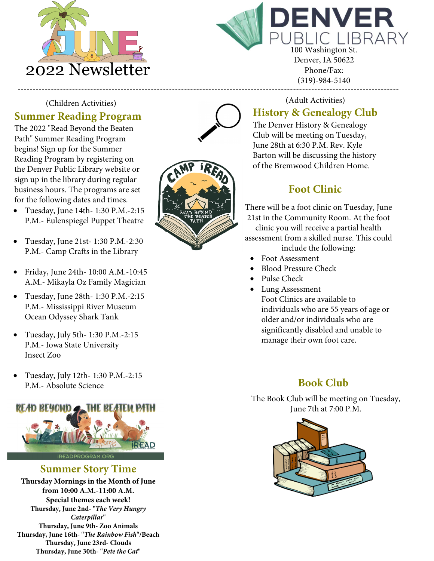



------------------------------------------------------------------------------------------------------------------------------ Denver, IA 50622 Phone/Fax: (319)-984-5140

#### (Children Activities) **Summer Reading Program**

The 2022 "Read Beyond the Beaten Path" Summer Reading Program begins! Sign up for the Summer Reading Program by registering on the Denver Public Library website or sign up in the library during regular business hours. The programs are set for the following dates and times.

- Tuesday, June 14th- 1:30 P.M.-2:15 P.M.- Eulenspiegel Puppet Theatre
- Tuesday, June 21st- 1:30 P.M.-2:30 P.M.- Camp Crafts in the Library
- Friday, June 24th- 10:00 A.M.-10:45 A.M.- Mikayla Oz Family Magician
- Tuesday, June 28th- 1:30 P.M.-2:15 P.M.- Mississippi River Museum Ocean Odyssey Shark Tank
- Tuesday, July 5th- 1:30 P.M.-2:15 P.M.- Iowa State University Insect Zoo
- Tuesday, July 12th- 1:30 P.M.-2:15 P.M.- Absolute Science



#### **Summer Story Time**

**Thursday Mornings in the Month of June from 10:00 A.M.-11:00 A.M. Special themes each week! Thursday, June 2nd- "***The Very Hungry Caterpillar***" Thursday, June 9th- Zoo Animals Thursday, June 16th- "***The Rainbow Fish***"/Beach Thursday, June 23rd- Clouds Thursday, June 30th- "***Pete the Cat***"**





#### (Adult Activities)

# **History & Genealogy Club**

The Denver History & Genealogy Club will be meeting on Tuesday, June 28th at 6:30 P.M. Rev. Kyle Barton will be discussing the history of the Bremwood Children Home.

## **Foot Clinic**

There will be a foot clinic on Tuesday, June 21st in the Community Room. At the foot

clinic you will receive a partial health assessment from a skilled nurse. This could include the following:

- Foot Assessment
- Blood Pressure Check
- Pulse Check
- Lung Assessment Foot Clinics are available to individuals who are 55 years of age or older and/or individuals who are significantly disabled and unable to manage their own foot care.

# *@WEZWI`Y;`FZW[ToSdk*

FZWWE`W eZWYI`YfZSfZSeTWVSVWV fa fZWITcSck XidfZWZ[VdWg`a`ŽXUfa` Taa] ežB[UgdWfa fZWMX [ei ZSf ea\_ VaX fZWW eZWWW^aa] ^[] W

## **Book Club**

The Book Club will be meeting on Tuesday, June 7th at 7:00 P.M.